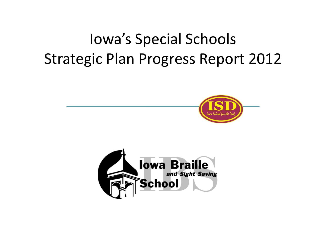## Iowa's Special Schools Strategic Plan Progress Report 2012



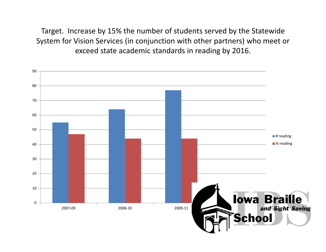Target. Increase by 15% the number of students served by the Statewide System for Vision Services (in conjunction with other partners) who meet or exceed state academic standards in reading by 2016.

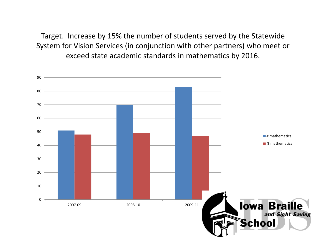Target. Increase by 15% the number of students served by the Statewide System for Vision Services (in conjunction with other partners) who meet or exceed state academic standards in mathematics by 2016.

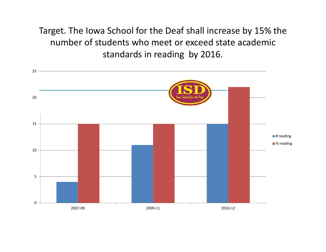Target. The Iowa School for the Deaf shall increase by 15% the number of students who meet or exceed state academic standards in reading by 2016.

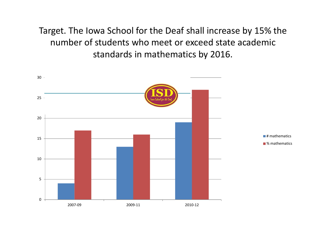Target. The Iowa School for the Deaf shall increase by 15% the number of students who meet or exceed state academic standards in mathematics by 2016.

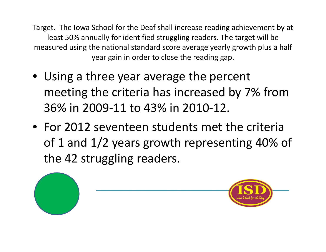Target. The Iowa School for the Deaf shall increase reading achievement by at least 50% annually for identified struggling readers. The target will be measured using the national standard score average yearly growth plus <sup>a</sup> half year gain in order to close the reading gap.

- Using <sup>a</sup> three year average the percent meeting the criteria has increased by 7% from 36% in 2009‐11 to 43% in 2010‐12.
- For 2012 seventeen students met the criteria of 1 and 1/2 years growth representing 40% of the 42 struggling readers.